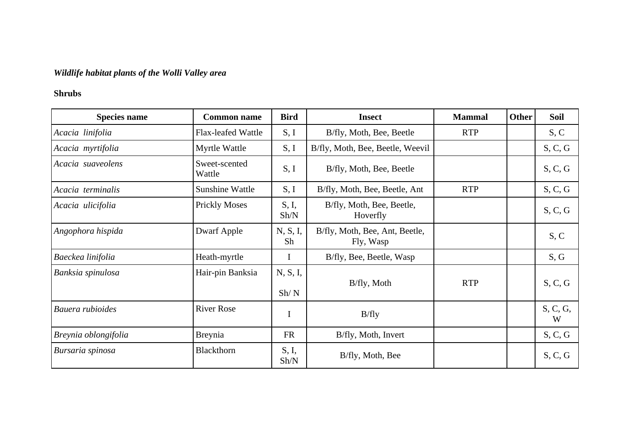## *Wildlife habitat plants of the Wolli Valley area*

## **Shrubs**

| <b>Species name</b>  | <b>Common name</b>        | <b>Bird</b>      | <b>Insect</b>                               | <b>Mammal</b> | <b>Other</b> | Soil          |
|----------------------|---------------------------|------------------|---------------------------------------------|---------------|--------------|---------------|
| Acacia linifolia     | <b>Flax-leafed Wattle</b> | S, I             | B/fly, Moth, Bee, Beetle                    | <b>RTP</b>    |              | S, C          |
| Acacia myrtifolia    | Myrtle Wattle             | S, I             | B/fly, Moth, Bee, Beetle, Weevil            |               |              | S, C, G       |
| Acacia suaveolens    | Sweet-scented<br>Wattle   | S, I             | B/fly, Moth, Bee, Beetle                    |               |              | S, C, G       |
| Acacia terminalis    | Sunshine Wattle           | S, I             | B/fly, Moth, Bee, Beetle, Ant               | <b>RTP</b>    |              | S, C, G       |
| Acacia ulicifolia    | <b>Prickly Moses</b>      | S, I,<br>Sh/N    | B/fly, Moth, Bee, Beetle,<br>Hoverfly       |               |              | S, C, G       |
| Angophora hispida    | Dwarf Apple               | N, S, I,<br>Sh   | B/fly, Moth, Bee, Ant, Beetle,<br>Fly, Wasp |               |              | S, C          |
| Baeckea linifolia    | Heath-myrtle              | $\bf{I}$         | B/fly, Bee, Beetle, Wasp                    |               |              | S, G          |
| Banksia spinulosa    | Hair-pin Banksia          | N, S, I,<br>Sh/N | B/fly, Moth                                 | <b>RTP</b>    |              | S, C, G       |
| Bauera rubioides     | <b>River Rose</b>         | $\mathbf I$      | B/fly                                       |               |              | S, C, G,<br>W |
| Breynia oblongifolia | Breynia                   | <b>FR</b>        | B/fly, Moth, Invert                         |               |              | S, C, G       |
| Bursaria spinosa     | Blackthorn                | S, I,<br>Sh/N    | B/fly, Moth, Bee                            |               |              | S, C, G       |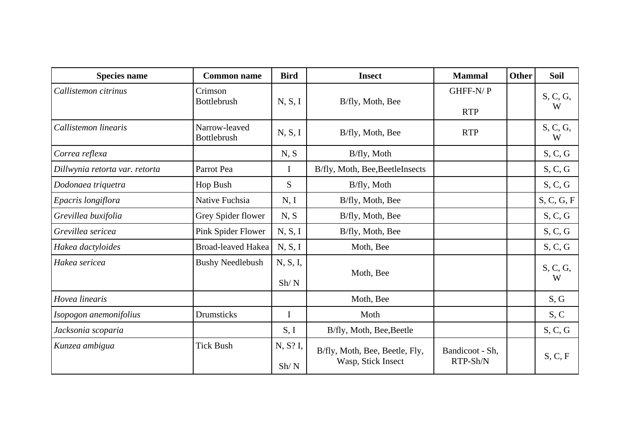| <b>Species name</b>            | <b>Common name</b>                  | <b>Bird</b>      | <b>Insect</b>                                        | <b>Mammal</b>               | <b>Other</b> | <b>Soil</b>   |
|--------------------------------|-------------------------------------|------------------|------------------------------------------------------|-----------------------------|--------------|---------------|
| Callistemon citrinus           | Crimson<br><b>Bottlebrush</b>       | N, S, I          | B/fly, Moth, Bee                                     | GHFF-N/P                    |              | S, C, G,      |
|                                |                                     |                  |                                                      | <b>RTP</b>                  |              | W             |
| Callistemon linearis           | Narrow-leaved<br><b>Bottlebrush</b> | N, S, I          | B/fly, Moth, Bee                                     | <b>RTP</b>                  |              | S, C, G,<br>W |
| Correa reflexa                 |                                     | N, S             | B/fly, Moth                                          |                             |              | S, C, G       |
| Dillwynia retorta var. retorta | Parrot Pea                          | $\mathbf I$      | B/fly, Moth, Bee, BeetleInsects                      |                             |              | S, C, G       |
| Dodonaea triquetra             | Hop Bush                            | S.               | B/fly, Moth                                          |                             |              | S, C, G       |
| Epacris longiflora             | Native Fuchsia                      | N, I             | B/fly, Moth, Bee                                     |                             |              | S, C, G, F    |
| Grevillea buxifolia            | Grey Spider flower                  | N, S             | B/fly, Moth, Bee                                     |                             |              | S, C, G       |
| Grevillea sericea              | Pink Spider Flower                  | N, S, I          | B/fly, Moth, Bee                                     |                             |              | S, C, G       |
| Hakea dactyloides              | <b>Broad-leaved Hakea</b>           | N, S, I          | Moth, Bee                                            |                             |              | S, C, G       |
| Hakea sericea                  | <b>Bushy Needlebush</b>             | N, S, I,         | Moth, Bee                                            |                             |              | S, C, G,      |
|                                |                                     | Sh/N             |                                                      |                             |              | W             |
| Hovea linearis                 |                                     |                  | Moth, Bee                                            |                             |              | S, G          |
| Isopogon anemonifolius         | Drumsticks                          | $\bf{I}$         | Moth                                                 |                             |              | S, C          |
| Jacksonia scoparia             |                                     | S, I             | B/fly, Moth, Bee, Beetle                             |                             |              | S, C, G       |
| Kunzea ambigua                 | <b>Tick Bush</b>                    | N, S? I,<br>Sh/N | B/fly, Moth, Bee, Beetle, Fly,<br>Wasp, Stick Insect | Bandicoot - Sh,<br>RTP-Sh/N |              | S, C, F       |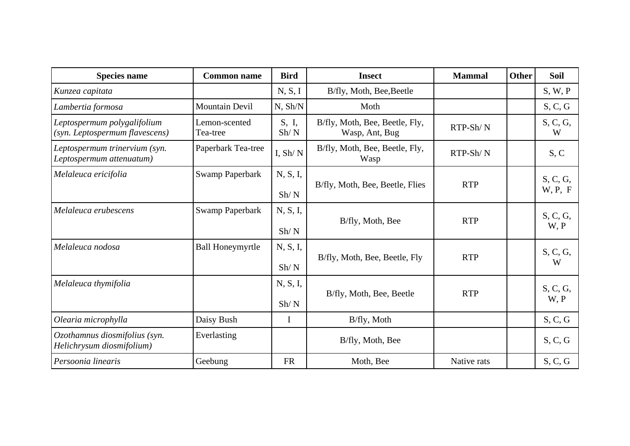| <b>Species name</b>                                           | <b>Common name</b>        | <b>Bird</b>   | <b>Insect</b>                                    | <b>Mammal</b> | <b>Other</b> | Soil                |
|---------------------------------------------------------------|---------------------------|---------------|--------------------------------------------------|---------------|--------------|---------------------|
| Kunzea capitata                                               |                           | N, S, I       | B/fly, Moth, Bee, Beetle                         |               |              | S, W, P             |
| Lambertia formosa                                             | <b>Mountain Devil</b>     | N, Sh/N       | Moth                                             |               |              | S, C, G             |
| Leptospermum polygalifolium<br>(syn. Leptospermum flavescens) | Lemon-scented<br>Tea-tree | S, I,<br>Sh/N | B/fly, Moth, Bee, Beetle, Fly,<br>Wasp, Ant, Bug | $RTP-Sh/N$    |              | S, C, G,<br>W       |
| Leptospermum trinervium (syn.<br>Leptospermum attenuatum)     | Paperbark Tea-tree        | I, $Sh/N$     | B/fly, Moth, Bee, Beetle, Fly,<br>Wasp           | $RTP-Sh/N$    |              | S, C                |
| Melaleuca ericifolia                                          | <b>Swamp Paperbark</b>    | N, S, I,      | B/fly, Moth, Bee, Beetle, Flies                  | <b>RTP</b>    |              | S, C, G,<br>W, P, F |
|                                                               |                           | Sh/N          |                                                  |               |              |                     |
| Melaleuca erubescens                                          | Swamp Paperbark           | N, S, I,      | B/fly, Moth, Bee                                 | <b>RTP</b>    |              | S, C, G,<br>W, P    |
|                                                               |                           | Sh/N          |                                                  |               |              |                     |
| Melaleuca nodosa                                              | <b>Ball Honeymyrtle</b>   | N, S, I,      | B/fly, Moth, Bee, Beetle, Fly<br>Sh/N            |               |              | S, C, G,            |
|                                                               |                           |               |                                                  | <b>RTP</b>    |              | W                   |
| Melaleuca thymifolia                                          |                           | N, S, I,      | B/fly, Moth, Bee, Beetle                         | <b>RTP</b>    |              | S, C, G,            |
|                                                               |                           | Sh/N          |                                                  |               |              | W, P                |
| Olearia microphylla                                           | Daisy Bush                | $\mathbf I$   | B/fly, Moth                                      |               |              | S, C, G             |
| Ozothamnus diosmifolius (syn.<br>Helichrysum diosmifolium)    | Everlasting               |               | B/fly, Moth, Bee                                 |               |              | S, C, G             |
| Persoonia linearis                                            | Geebung                   | <b>FR</b>     | Moth, Bee                                        | Native rats   |              | S, C, G             |